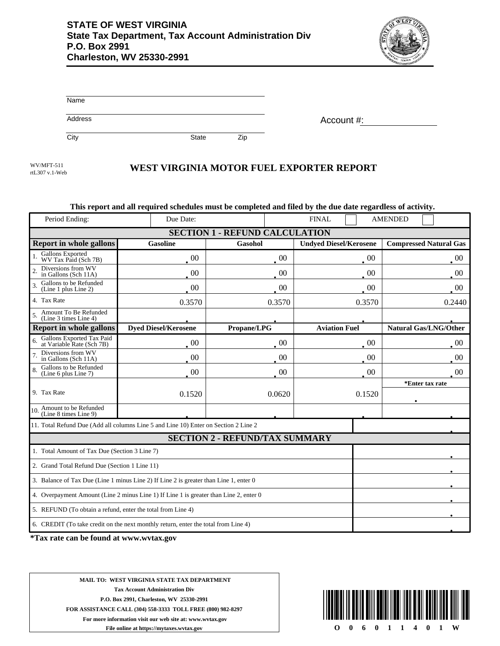

Account #:

| Name    |  |  |  |
|---------|--|--|--|
| Address |  |  |  |

City **State** Zip

rtL307 v.1-Web

## WEST VIRGINIA MOTOR FUEL EXPORTER REPORT

## **This report and all required schedules must be completed and filed by the due date regardless of activity.**

| Period Ending:                                                                        | Due Date:                   |                                       | <b>FINAL</b>                  | <b>AMENDED</b>                |  |  |
|---------------------------------------------------------------------------------------|-----------------------------|---------------------------------------|-------------------------------|-------------------------------|--|--|
| <b>SECTION 1 - REFUND CALCULATION</b>                                                 |                             |                                       |                               |                               |  |  |
| <b>Report in whole gallons</b>                                                        | <b>Gasoline</b>             | Gasohol                               | <b>Undyed Diesel/Kerosene</b> | <b>Compressed Natural Gas</b> |  |  |
| Gallons Exported<br>WV Tax Paid (Sch 7B)                                              | 00                          | $00\,$                                | $00\,$                        | $00\,$                        |  |  |
| Diversions from WV<br>in Gallons (Sch 11A)                                            | 00                          | 00                                    | $00\,$                        | 00                            |  |  |
| Gallons to be Refunded<br>(Line 1 plus Line 2)                                        | 00                          | $00\,$                                | $00\,$                        | $00\,$                        |  |  |
| 4. Tax Rate                                                                           | 0.3570                      | 0.3570                                | 0.3570                        | 0.2440                        |  |  |
| Amount To Be Refunded<br>(Line 3 times Line 4)                                        |                             |                                       |                               |                               |  |  |
| <b>Report in whole gallons</b>                                                        | <b>Dyed Diesel/Kerosene</b> | Propane/LPG                           | <b>Aviation Fuel</b>          | <b>Natural Gas/LNG/Other</b>  |  |  |
| Gallons Exported Tax Paid<br>at Variable Rate (Sch 7B)                                | $\cdot$ 00                  | $00\,$                                | $00\,$                        | $00\,$                        |  |  |
| Diversions from WV<br>in Gallons (Sch 11A)                                            | 00                          | 00                                    | $00\,$                        | 00                            |  |  |
| Gallons to be Refunded<br>(Line 6 plus Line 7)                                        | $00\,$                      | $00\,$                                | $00\,$                        | $00\,$                        |  |  |
|                                                                                       |                             |                                       |                               | *Enter tax rate               |  |  |
| 9. Tax Rate                                                                           | 0.1520                      | 0.0620                                | 0.1520                        |                               |  |  |
| Amount to be Refunded<br>(Line 8 times Line 9)<br>10 <sup>1</sup>                     |                             |                                       |                               |                               |  |  |
| 11. Total Refund Due (Add all columns Line 5 and Line 10) Enter on Section 2 Line 2   |                             |                                       |                               |                               |  |  |
|                                                                                       |                             | <b>SECTION 2 - REFUND/TAX SUMMARY</b> |                               |                               |  |  |
| 1. Total Amount of Tax Due (Section 3 Line 7)                                         |                             |                                       |                               |                               |  |  |
| 2. Grand Total Refund Due (Section 1 Line 11)                                         |                             |                                       |                               |                               |  |  |
| 3. Balance of Tax Due (Line 1 minus Line 2) If Line 2 is greater than Line 1, enter 0 |                             |                                       |                               |                               |  |  |
| 4. Overpayment Amount (Line 2 minus Line 1) If Line 1 is greater than Line 2, enter 0 |                             |                                       |                               |                               |  |  |
| 5. REFUND (To obtain a refund, enter the total from Line 4)                           |                             |                                       |                               |                               |  |  |
| 6. CREDIT (To take credit on the next monthly return, enter the total from Line 4)    |                             |                                       |                               |                               |  |  |

**\*Tax rate can be found at www.wvtax.gov**

**MAIL TO: WEST VIRGINIA STATE TAX DEPARTMENT Tax Account Administration Div P.O. Box 2991, Charleston, WV 25330-2991 FOR ASSISTANCE CALL (304) 558-3333 TOLL FREE (800) 982-8297 For more information visit our web site at: www.wvtax.gov File online at https://mytaxes.wvtax.gov**